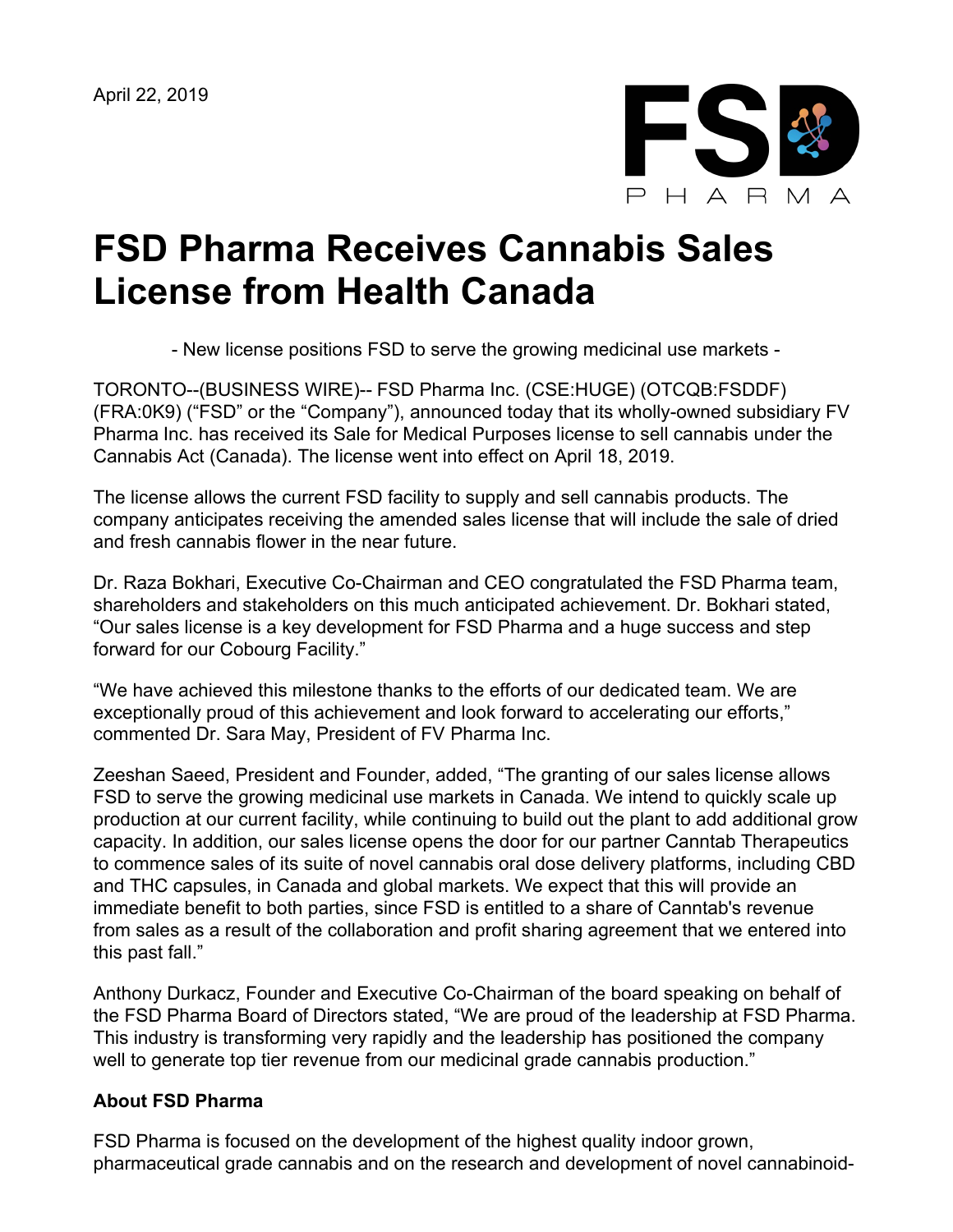April 22, 2019



## **FSD Pharma Receives Cannabis Sales License from Health Canada**

- New license positions FSD to serve the growing medicinal use markets -

TORONTO--(BUSINESS WIRE)-- FSD Pharma Inc. (CSE:HUGE) (OTCQB:FSDDF) (FRA:0K9) ("FSD" or the "Company"), announced today that its wholly-owned subsidiary FV Pharma Inc. has received its Sale for Medical Purposes license to sell cannabis under the Cannabis Act (Canada). The license went into effect on April 18, 2019.

The license allows the current FSD facility to supply and sell cannabis products. The company anticipates receiving the amended sales license that will include the sale of dried and fresh cannabis flower in the near future.

Dr. Raza Bokhari, Executive Co-Chairman and CEO congratulated the FSD Pharma team, shareholders and stakeholders on this much anticipated achievement. Dr. Bokhari stated, "Our sales license is a key development for FSD Pharma and a huge success and step forward for our Cobourg Facility."

"We have achieved this milestone thanks to the efforts of our dedicated team. We are exceptionally proud of this achievement and look forward to accelerating our efforts," commented Dr. Sara May, President of FV Pharma Inc.

Zeeshan Saeed, President and Founder, added, "The granting of our sales license allows FSD to serve the growing medicinal use markets in Canada. We intend to quickly scale up production at our current facility, while continuing to build out the plant to add additional grow capacity. In addition, our sales license opens the door for our partner Canntab Therapeutics to commence sales of its suite of novel cannabis oral dose delivery platforms, including CBD and THC capsules, in Canada and global markets. We expect that this will provide an immediate benefit to both parties, since FSD is entitled to a share of Canntab's revenue from sales as a result of the collaboration and profit sharing agreement that we entered into this past fall."

Anthony Durkacz, Founder and Executive Co-Chairman of the board speaking on behalf of the FSD Pharma Board of Directors stated, "We are proud of the leadership at FSD Pharma. This industry is transforming very rapidly and the leadership has positioned the company well to generate top tier revenue from our medicinal grade cannabis production."

## **About FSD Pharma**

FSD Pharma is focused on the development of the highest quality indoor grown, pharmaceutical grade cannabis and on the research and development of novel cannabinoid